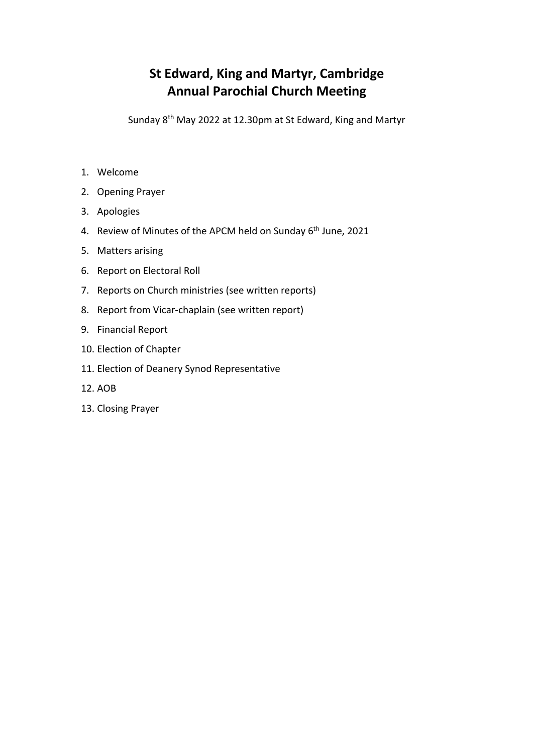# **St Edward, King and Martyr, Cambridge Annual Parochial Church Meeting**

Sunday 8th May 2022 at 12.30pm at St Edward, King and Martyr

- 1. Welcome
- 2. Opening Prayer
- 3. Apologies
- 4. Review of Minutes of the APCM held on Sunday 6<sup>th</sup> June, 2021
- 5. Matters arising
- 6. Report on Electoral Roll
- 7. Reports on Church ministries (see written reports)
- 8. Report from Vicar-chaplain (see written report)
- 9. Financial Report
- 10. Election of Chapter
- 11. Election of Deanery Synod Representative
- 12. AOB
- 13. Closing Prayer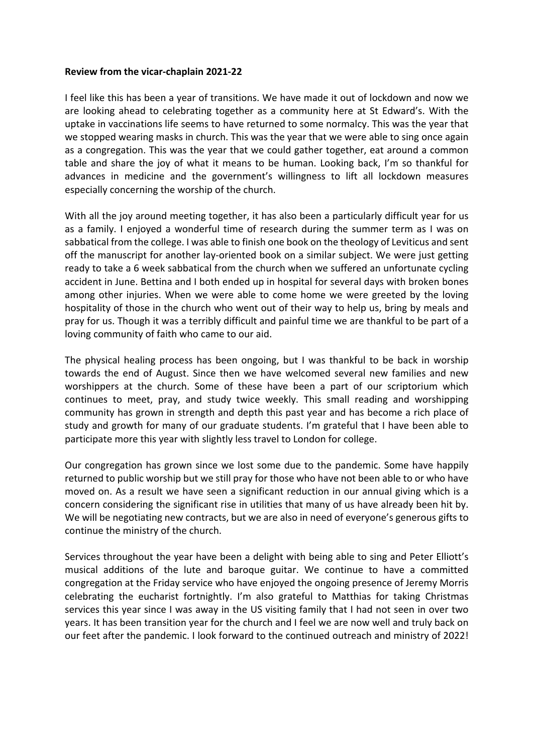### **Review from the vicar-chaplain 2021-22**

I feel like this has been a year of transitions. We have made it out of lockdown and now we are looking ahead to celebrating together as a community here at St Edward's. With the uptake in vaccinations life seems to have returned to some normalcy. This was the year that we stopped wearing masks in church. This was the year that we were able to sing once again as a congregation. This was the year that we could gather together, eat around a common table and share the joy of what it means to be human. Looking back, I'm so thankful for advances in medicine and the government's willingness to lift all lockdown measures especially concerning the worship of the church.

With all the joy around meeting together, it has also been a particularly difficult year for us as a family. I enjoyed a wonderful time of research during the summer term as I was on sabbatical from the college. I was able to finish one book on the theology of Leviticus and sent off the manuscript for another lay-oriented book on a similar subject. We were just getting ready to take a 6 week sabbatical from the church when we suffered an unfortunate cycling accident in June. Bettina and I both ended up in hospital for several days with broken bones among other injuries. When we were able to come home we were greeted by the loving hospitality of those in the church who went out of their way to help us, bring by meals and pray for us. Though it was a terribly difficult and painful time we are thankful to be part of a loving community of faith who came to our aid.

The physical healing process has been ongoing, but I was thankful to be back in worship towards the end of August. Since then we have welcomed several new families and new worshippers at the church. Some of these have been a part of our scriptorium which continues to meet, pray, and study twice weekly. This small reading and worshipping community has grown in strength and depth this past year and has become a rich place of study and growth for many of our graduate students. I'm grateful that I have been able to participate more this year with slightly less travel to London for college.

Our congregation has grown since we lost some due to the pandemic. Some have happily returned to public worship but we still pray for those who have not been able to or who have moved on. As a result we have seen a significant reduction in our annual giving which is a concern considering the significant rise in utilities that many of us have already been hit by. We will be negotiating new contracts, but we are also in need of everyone's generous gifts to continue the ministry of the church.

Services throughout the year have been a delight with being able to sing and Peter Elliott's musical additions of the lute and baroque guitar. We continue to have a committed congregation at the Friday service who have enjoyed the ongoing presence of Jeremy Morris celebrating the eucharist fortnightly. I'm also grateful to Matthias for taking Christmas services this year since I was away in the US visiting family that I had not seen in over two years. It has been transition year for the church and I feel we are now well and truly back on our feet after the pandemic. I look forward to the continued outreach and ministry of 2022!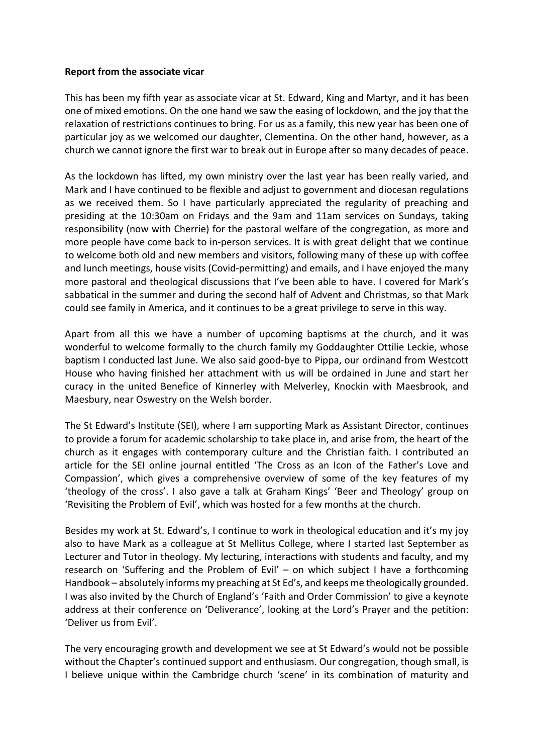### **Report from the associate vicar**

This has been my fifth year as associate vicar at St. Edward, King and Martyr, and it has been one of mixed emotions. On the one hand we saw the easing of lockdown, and the joy that the relaxation of restrictions continues to bring. For us as a family, this new year has been one of particular joy as we welcomed our daughter, Clementina. On the other hand, however, as a church we cannot ignore the first war to break out in Europe after so many decades of peace.

As the lockdown has lifted, my own ministry over the last year has been really varied, and Mark and I have continued to be flexible and adjust to government and diocesan regulations as we received them. So I have particularly appreciated the regularity of preaching and presiding at the 10:30am on Fridays and the 9am and 11am services on Sundays, taking responsibility (now with Cherrie) for the pastoral welfare of the congregation, as more and more people have come back to in-person services. It is with great delight that we continue to welcome both old and new members and visitors, following many of these up with coffee and lunch meetings, house visits (Covid-permitting) and emails, and I have enjoyed the many more pastoral and theological discussions that I've been able to have. I covered for Mark's sabbatical in the summer and during the second half of Advent and Christmas, so that Mark could see family in America, and it continues to be a great privilege to serve in this way.

Apart from all this we have a number of upcoming baptisms at the church, and it was wonderful to welcome formally to the church family my Goddaughter Ottilie Leckie, whose baptism I conducted last June. We also said good-bye to Pippa, our ordinand from Westcott House who having finished her attachment with us will be ordained in June and start her curacy in the united Benefice of Kinnerley with Melverley, Knockin with Maesbrook, and Maesbury, near Oswestry on the Welsh border.

The St Edward's Institute (SEI), where I am supporting Mark as Assistant Director, continues to provide a forum for academic scholarship to take place in, and arise from, the heart of the church as it engages with contemporary culture and the Christian faith. I contributed an article for the SEI online journal entitled 'The Cross as an Icon of the Father's Love and Compassion', which gives a comprehensive overview of some of the key features of my 'theology of the cross'. I also gave a talk at Graham Kings' 'Beer and Theology' group on 'Revisiting the Problem of Evil', which was hosted for a few months at the church.

Besides my work at St. Edward's, I continue to work in theological education and it's my joy also to have Mark as a colleague at St Mellitus College, where I started last September as Lecturer and Tutor in theology. My lecturing, interactions with students and faculty, and my research on 'Suffering and the Problem of Evil' – on which subject I have a forthcoming Handbook – absolutely informs my preaching at St Ed's, and keeps me theologically grounded. I was also invited by the Church of England's 'Faith and Order Commission' to give a keynote address at their conference on 'Deliverance', looking at the Lord's Prayer and the petition: 'Deliver us from Evil'.

The very encouraging growth and development we see at St Edward's would not be possible without the Chapter's continued support and enthusiasm. Our congregation, though small, is I believe unique within the Cambridge church 'scene' in its combination of maturity and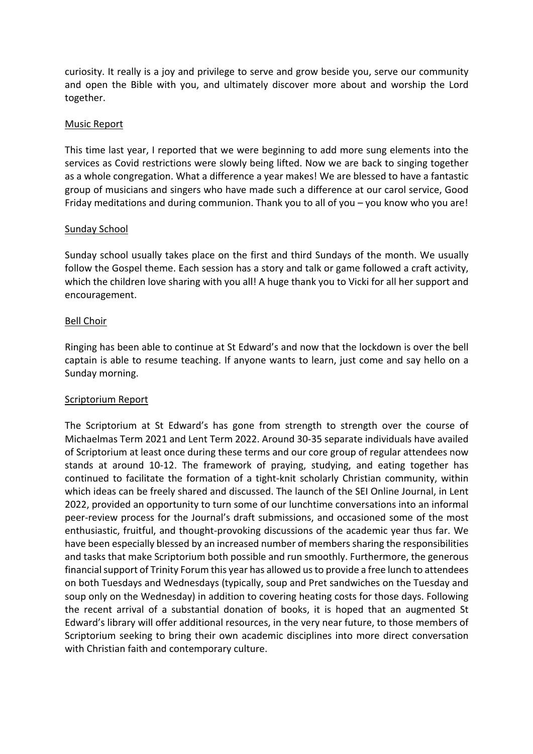curiosity. It really is a joy and privilege to serve and grow beside you, serve our community and open the Bible with you, and ultimately discover more about and worship the Lord together.

#### Music Report

This time last year, I reported that we were beginning to add more sung elements into the services as Covid restrictions were slowly being lifted. Now we are back to singing together as a whole congregation. What a difference a year makes! We are blessed to have a fantastic group of musicians and singers who have made such a difference at our carol service, Good Friday meditations and during communion. Thank you to all of you – you know who you are!

#### Sunday School

Sunday school usually takes place on the first and third Sundays of the month. We usually follow the Gospel theme. Each session has a story and talk or game followed a craft activity, which the children love sharing with you all! A huge thank you to Vicki for all her support and encouragement.

#### Bell Choir

Ringing has been able to continue at St Edward's and now that the lockdown is over the bell captain is able to resume teaching. If anyone wants to learn, just come and say hello on a Sunday morning.

### Scriptorium Report

The Scriptorium at St Edward's has gone from strength to strength over the course of Michaelmas Term 2021 and Lent Term 2022. Around 30-35 separate individuals have availed of Scriptorium at least once during these terms and our core group of regular attendees now stands at around 10-12. The framework of praying, studying, and eating together has continued to facilitate the formation of a tight-knit scholarly Christian community, within which ideas can be freely shared and discussed. The launch of the SEI Online Journal, in Lent 2022, provided an opportunity to turn some of our lunchtime conversations into an informal peer-review process for the Journal's draft submissions, and occasioned some of the most enthusiastic, fruitful, and thought-provoking discussions of the academic year thus far. We have been especially blessed by an increased number of members sharing the responsibilities and tasks that make Scriptorium both possible and run smoothly. Furthermore, the generous financial support of Trinity Forum this year has allowed us to provide a free lunch to attendees on both Tuesdays and Wednesdays (typically, soup and Pret sandwiches on the Tuesday and soup only on the Wednesday) in addition to covering heating costs for those days. Following the recent arrival of a substantial donation of books, it is hoped that an augmented St Edward's library will offer additional resources, in the very near future, to those members of Scriptorium seeking to bring their own academic disciplines into more direct conversation with Christian faith and contemporary culture.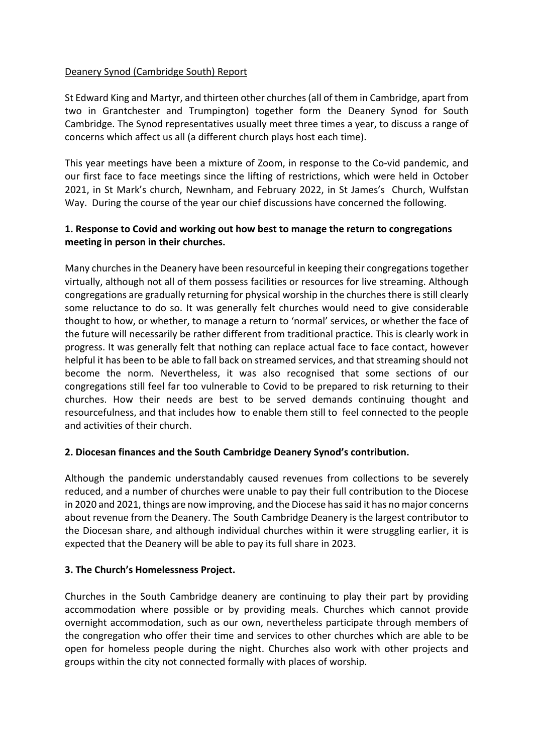# Deanery Synod (Cambridge South) Report

St Edward King and Martyr, and thirteen other churches (all of them in Cambridge, apart from two in Grantchester and Trumpington) together form the Deanery Synod for South Cambridge. The Synod representatives usually meet three times a year, to discuss a range of concerns which affect us all (a different church plays host each time).

This year meetings have been a mixture of Zoom, in response to the Co-vid pandemic, and our first face to face meetings since the lifting of restrictions, which were held in October 2021, in St Mark's church, Newnham, and February 2022, in St James's Church, Wulfstan Way. During the course of the year our chief discussions have concerned the following.

# **1. Response to Covid and working out how best to manage the return to congregations meeting in person in their churches.**

Many churches in the Deanery have been resourceful in keeping their congregations together virtually, although not all of them possess facilities or resources for live streaming. Although congregations are gradually returning for physical worship in the churches there is still clearly some reluctance to do so. It was generally felt churches would need to give considerable thought to how, or whether, to manage a return to 'normal' services, or whether the face of the future will necessarily be rather different from traditional practice. This is clearly work in progress. It was generally felt that nothing can replace actual face to face contact, however helpful it has been to be able to fall back on streamed services, and that streaming should not become the norm. Nevertheless, it was also recognised that some sections of our congregations still feel far too vulnerable to Covid to be prepared to risk returning to their churches. How their needs are best to be served demands continuing thought and resourcefulness, and that includes how to enable them still to feel connected to the people and activities of their church.

# **2. Diocesan finances and the South Cambridge Deanery Synod's contribution.**

Although the pandemic understandably caused revenues from collections to be severely reduced, and a number of churches were unable to pay their full contribution to the Diocese in 2020 and 2021, things are now improving, and the Diocese has said it has no major concerns about revenue from the Deanery. The South Cambridge Deanery is the largest contributor to the Diocesan share, and although individual churches within it were struggling earlier, it is expected that the Deanery will be able to pay its full share in 2023.

### **3. The Church's Homelessness Project.**

Churches in the South Cambridge deanery are continuing to play their part by providing accommodation where possible or by providing meals. Churches which cannot provide overnight accommodation, such as our own, nevertheless participate through members of the congregation who offer their time and services to other churches which are able to be open for homeless people during the night. Churches also work with other projects and groups within the city not connected formally with places of worship.